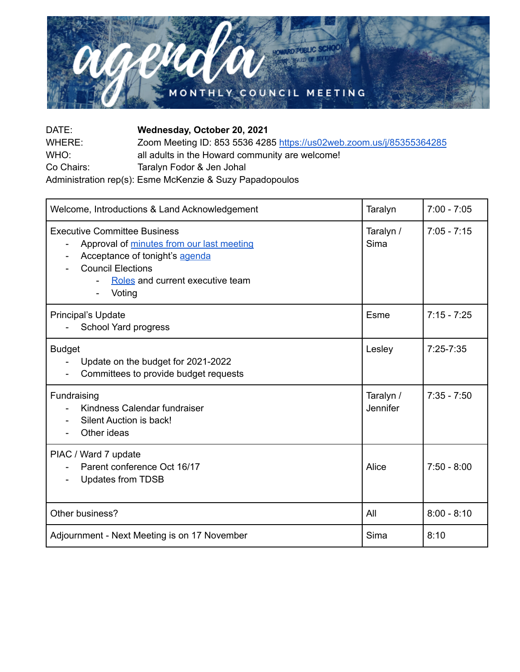

| DATE:      | Wednesday, October 20, 2021                                          |
|------------|----------------------------------------------------------------------|
| WHERE:     | Zoom Meeting ID: 853 5536 4285 https://us02web.zoom.us/j/85355364285 |
| WHO:       | all adults in the Howard community are welcome!                      |
| Co Chairs: | Taralyn Fodor & Jen Johal                                            |
|            | Administration rep(s): Esme McKenzie & Suzy Papadopoulos             |

| Welcome, Introductions & Land Acknowledgement                                                                                                                                                                            | Taralyn               | $7:00 - 7:05$ |
|--------------------------------------------------------------------------------------------------------------------------------------------------------------------------------------------------------------------------|-----------------------|---------------|
| <b>Executive Committee Business</b><br>Approval of minutes from our last meeting<br>$\overline{\phantom{a}}$<br>Acceptance of tonight's agenda<br><b>Council Elections</b><br>Roles and current executive team<br>Voting | Taralyn /<br>Sima     | $7:05 - 7:15$ |
| Principal's Update<br>School Yard progress                                                                                                                                                                               | Esme                  | $7:15 - 7:25$ |
| <b>Budget</b><br>Update on the budget for 2021-2022<br>Committees to provide budget requests                                                                                                                             | Lesley                | $7:25 - 7:35$ |
| Fundraising<br>Kindness Calendar fundraiser<br>Silent Auction is back!<br>Other ideas                                                                                                                                    | Taralyn /<br>Jennifer | $7:35 - 7:50$ |
| PIAC / Ward 7 update<br>Parent conference Oct 16/17<br><b>Updates from TDSB</b>                                                                                                                                          | Alice                 | $7:50 - 8:00$ |
| Other business?                                                                                                                                                                                                          | All                   | $8:00 - 8:10$ |
| Adjournment - Next Meeting is on 17 November                                                                                                                                                                             | Sima                  | 8:10          |